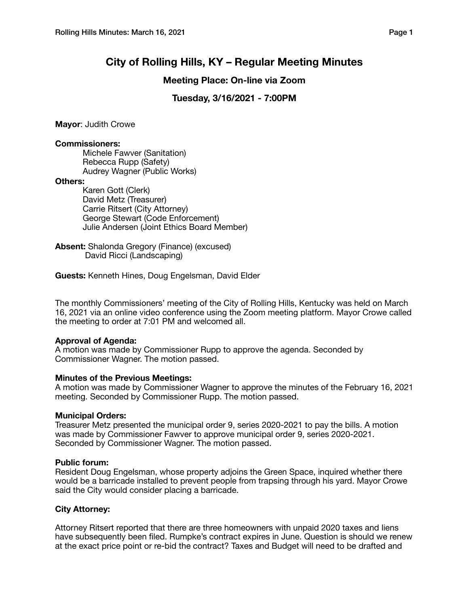# **City of Rolling Hills, KY – Regular Meeting Minutes**

## **Meeting Place: On-line via Zoom**

# **Tuesday, 3/16/2021 - 7:00PM**

**Mayor**: Judith Crowe

## **Commissioners:**

Michele Fawver (Sanitation) Rebecca Rupp (Safety) Audrey Wagner (Public Works)

## **Others:**

Karen Gott (Clerk) David Metz (Treasurer) Carrie Ritsert (City Attorney) George Stewart (Code Enforcement) Julie Andersen (Joint Ethics Board Member)

**Absent:** Shalonda Gregory (Finance) (excused) David Ricci (Landscaping)

**Guests:** Kenneth Hines, Doug Engelsman, David Elder

The monthly Commissioners' meeting of the City of Rolling Hills, Kentucky was held on March 16, 2021 via an online video conference using the Zoom meeting platform. Mayor Crowe called the meeting to order at 7:01 PM and welcomed all.

## **Approval of Agenda:**

A motion was made by Commissioner Rupp to approve the agenda. Seconded by Commissioner Wagner. The motion passed.

## **Minutes of the Previous Meetings:**

A motion was made by Commissioner Wagner to approve the minutes of the February 16, 2021 meeting. Seconded by Commissioner Rupp. The motion passed.

## **Municipal Orders:**

Treasurer Metz presented the municipal order 9, series 2020-2021 to pay the bills. A motion was made by Commissioner Fawver to approve municipal order 9, series 2020-2021. Seconded by Commissioner Wagner. The motion passed.

## **Public forum:**

Resident Doug Engelsman, whose property adjoins the Green Space, inquired whether there would be a barricade installed to prevent people from trapsing through his yard. Mayor Crowe said the City would consider placing a barricade.

## **City Attorney:**

Attorney Ritsert reported that there are three homeowners with unpaid 2020 taxes and liens have subsequently been filed. Rumpke's contract expires in June. Question is should we renew at the exact price point or re-bid the contract? Taxes and Budget will need to be drafted and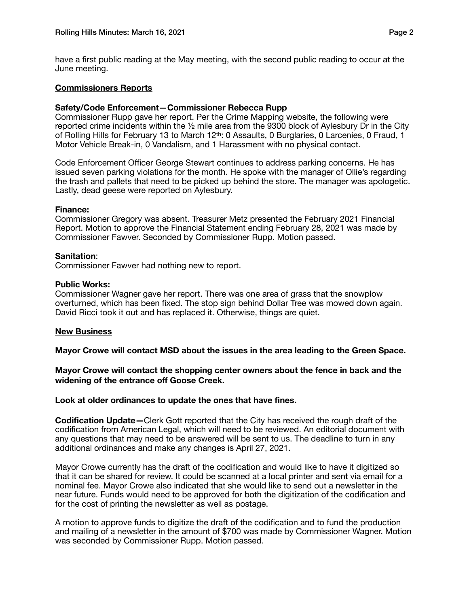have a first public reading at the May meeting, with the second public reading to occur at the June meeting.

## **Commissioners Reports**

## **Safety/Code Enforcement—Commissioner Rebecca Rupp**

Commissioner Rupp gave her report. Per the Crime Mapping website, the following were reported crime incidents within the ½ mile area from the 9300 block of Aylesbury Dr in the City of Rolling Hills for February 13 to March 12<sup>th</sup>: 0 Assaults, 0 Burglaries, 0 Larcenies, 0 Fraud, 1 Motor Vehicle Break-in, 0 Vandalism, and 1 Harassment with no physical contact.

Code Enforcement Officer George Stewart continues to address parking concerns. He has issued seven parking violations for the month. He spoke with the manager of Ollie's regarding the trash and pallets that need to be picked up behind the store. The manager was apologetic. Lastly, dead geese were reported on Aylesbury.

## **Finance:**

Commissioner Gregory was absent. Treasurer Metz presented the February 2021 Financial Report. Motion to approve the Financial Statement ending February 28, 2021 was made by Commissioner Fawver. Seconded by Commissioner Rupp. Motion passed.

## **Sanitation**:

Commissioner Fawver had nothing new to report.

#### **Public Works:**

Commissioner Wagner gave her report. There was one area of grass that the snowplow overturned, which has been fixed. The stop sign behind Dollar Tree was mowed down again. David Ricci took it out and has replaced it. Otherwise, things are quiet.

## **New Business**

**Mayor Crowe will contact MSD about the issues in the area leading to the Green Space.** 

## **Mayor Crowe will contact the shopping center owners about the fence in back and the widening of the entrance off Goose Creek.**

**Look at older ordinances to update the ones that have fines.** 

**Codification Update—**Clerk Gott reported that the City has received the rough draft of the codification from American Legal, which will need to be reviewed. An editorial document with any questions that may need to be answered will be sent to us. The deadline to turn in any additional ordinances and make any changes is April 27, 2021.

Mayor Crowe currently has the draft of the codification and would like to have it digitized so that it can be shared for review. It could be scanned at a local printer and sent via email for a nominal fee. Mayor Crowe also indicated that she would like to send out a newsletter in the near future. Funds would need to be approved for both the digitization of the codification and for the cost of printing the newsletter as well as postage.

A motion to approve funds to digitize the draft of the codification and to fund the production and mailing of a newsletter in the amount of \$700 was made by Commissioner Wagner. Motion was seconded by Commissioner Rupp. Motion passed.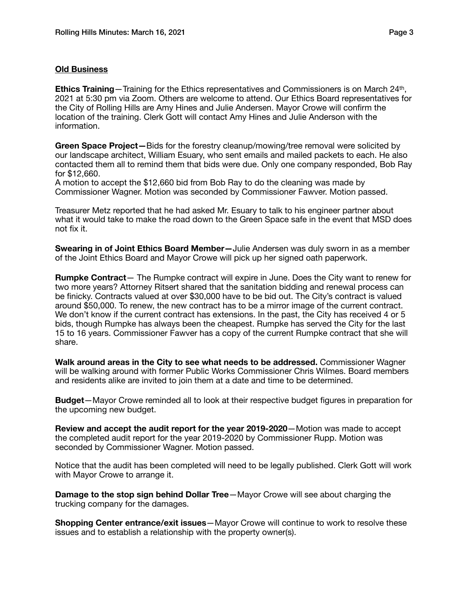## **Old Business**

**Ethics Training**—Training for the Ethics representatives and Commissioners is on March 24th, 2021 at 5:30 pm via Zoom. Others are welcome to attend. Our Ethics Board representatives for the City of Rolling Hills are Amy Hines and Julie Andersen. Mayor Crowe will confirm the location of the training. Clerk Gott will contact Amy Hines and Julie Anderson with the information.

**Green Space Project—**Bids for the forestry cleanup/mowing/tree removal were solicited by our landscape architect, William Esuary, who sent emails and mailed packets to each. He also contacted them all to remind them that bids were due. Only one company responded, Bob Ray for \$12,660.

A motion to accept the \$12,660 bid from Bob Ray to do the cleaning was made by Commissioner Wagner. Motion was seconded by Commissioner Fawver. Motion passed.

Treasurer Metz reported that he had asked Mr. Esuary to talk to his engineer partner about what it would take to make the road down to the Green Space safe in the event that MSD does not fix it.

**Swearing in of Joint Ethics Board Member—**Julie Andersen was duly sworn in as a member of the Joint Ethics Board and Mayor Crowe will pick up her signed oath paperwork.

**Rumpke Contract**— The Rumpke contract will expire in June. Does the City want to renew for two more years? Attorney Ritsert shared that the sanitation bidding and renewal process can be finicky. Contracts valued at over \$30,000 have to be bid out. The City's contract is valued around \$50,000. To renew, the new contract has to be a mirror image of the current contract. We don't know if the current contract has extensions. In the past, the City has received 4 or 5 bids, though Rumpke has always been the cheapest. Rumpke has served the City for the last 15 to 16 years. Commissioner Fawver has a copy of the current Rumpke contract that she will share.

**Walk around areas in the City to see what needs to be addressed.** Commissioner Wagner will be walking around with former Public Works Commissioner Chris Wilmes. Board members and residents alike are invited to join them at a date and time to be determined.

**Budget**—Mayor Crowe reminded all to look at their respective budget figures in preparation for the upcoming new budget.

**Review and accept the audit report for the year 2019-2020**—Motion was made to accept the completed audit report for the year 2019-2020 by Commissioner Rupp. Motion was seconded by Commissioner Wagner. Motion passed.

Notice that the audit has been completed will need to be legally published. Clerk Gott will work with Mayor Crowe to arrange it.

**Damage to the stop sign behind Dollar Tree**—Mayor Crowe will see about charging the trucking company for the damages.

**Shopping Center entrance/exit issues**—Mayor Crowe will continue to work to resolve these issues and to establish a relationship with the property owner(s).